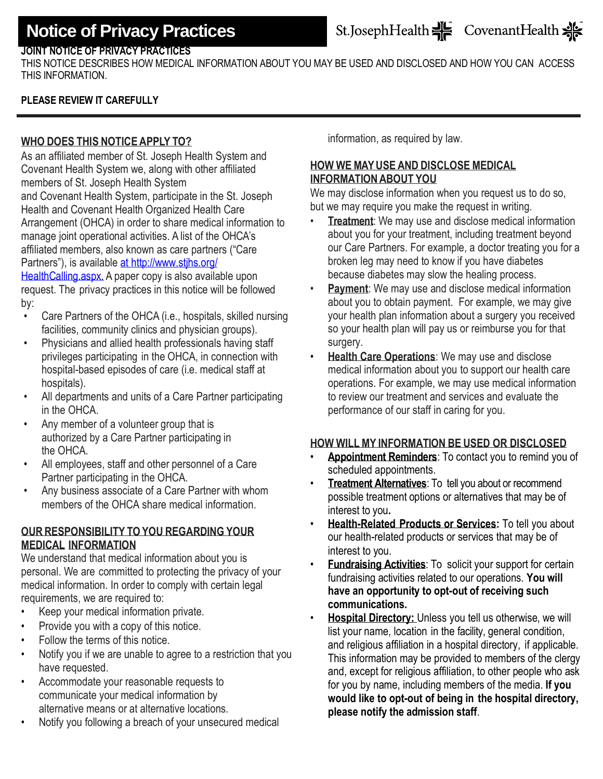## St.JosephHealth  $\frac{1}{2}$  CovenantHealth  $\frac{1}{2}$

### **JOINT NOTICE OF PRIVACY PRACTICES**

THIS NOTICE DESCRIBES HOW MEDICAL INFORMATION ABOUT YOU MAY BE USED AND DISCLOSED AND HOW YOU CAN ACCESS THIS INFORMATION.

### **PLEASE REVIEW IT CAREFULLY**

#### **WHO DOES THIS NOTICEAPPLY TO?**

As an affiliated member of St. Joseph Health System and Covenant Health System we, along with other affiliated members of St. Joseph Health System

and Covenant Health System, participate in the St. Joseph Health and Covenant Health Organized Health Care Arrangement (OHCA) in order to share medical information to manage joint operational activities. A list of the OHCA's affiliated members, also known as care partners ("Care Partners"), is available [at http://www.stjhs.org/](file://///Cdcns-cor-grp/group/corpdocs/Private/Corporate%20Communications/Digital%20Communications/St%20Joseph%20Health%20System/Notice%20of%20Privacy/June%202014/at%20http:/www.stjhs.org/HealthCalling.aspx.)

[HealthCalling.aspx.](file://///Cdcns-cor-grp/group/corpdocs/Private/Corporate%20Communications/Digital%20Communications/St%20Joseph%20Health%20System/Notice%20of%20Privacy/June%202014/at%20http:/www.stjhs.org/HealthCalling.aspx.) A paper copy is also available upon request. The privacy practices in this notice will be followed by:

- Care Partners of the OHCA (i.e., hospitals, skilled nursing facilities, community clinics and physician groups).
- Physicians and allied health professionals having staff privileges participating in the OHCA, in connection with hospital-based episodes of care (i.e. medical staff at hospitals).
- All departments and units of a Care Partner participating in the OHCA.
- Any member of a volunteer group that is authorized by a Care Partner participating in the OHCA.
- All employees, staff and other personnel of a Care Partner participating in the OHCA.
- Any business associate of a Care Partner with whom members of the OHCA share medical information.

#### **OUR RESPONSIBILITY TOYOU REGARDING YOUR MEDICAL INFORMATION**

We understand that medical information about you is personal. We are committed to protecting the privacy of your medical information. In order to comply with certain legal requirements, we are required to:

- Keep your medical information private.
- Provide you with a copy of this notice.
- Follow the terms of this notice.
- Notify you if we are unable to agree to a restriction that you have requested.
- Accommodate your reasonable requests to communicate your medical information by alternative means or at alternative locations.
- Notify you following a breach of your unsecured medical

information, as required by law.

## **HOW WE MAYUSE AND DISCLOSE MEDICAL INFORMATIONABOUT YOU**

We may disclose information when you request us to do so, but we may require you make the request in writing.

- **Treatment:** We may use and disclose medical information about you for your treatment, including treatment beyond our Care Partners. For example, a doctor treating you for a broken leg may need to know if you have diabetes because diabetes may slow the healing process.
- **Payment:** We may use and disclose medical information about you to obtain payment.For example, we may give your health plan information about a surgery you received so your health plan will pay us or reimburse you for that surgery.
- **Health Care Operations**: We may use and disclose medical information about you to support our health care operations. For example, we may use medical information to review our treatment and services and evaluate the performance of our staff in caring for you.

#### **HOW WILLMY INFORMATION BE USED OR DISCLOSED**

- **Appointment Reminders**: To contact you to remind you of scheduled appointments.
- **Treatment Alternatives**: To tell you about or recommend possible treatment options or alternatives that may be of interest to you**.**
- **Health-Related Products or Services:** To tell you about our health-related products or services that may be of interest to you.
- **Fundraising Activities**: To solicit your support for certain fundraising activities related to our operations. **You will have an opportunity to opt-out of receiving such communications.**
- **Hospital Directory:** Unless you tell us otherwise, we will list your name, location in the facility, general condition, and religious affiliation in a hospital directory, if applicable. This information may be provided to members of the clergy and, except for religious affiliation, to other people who ask for you by name, including members of the media. **If you would like to opt-out of being in the hospital directory, please notify the admission staff**.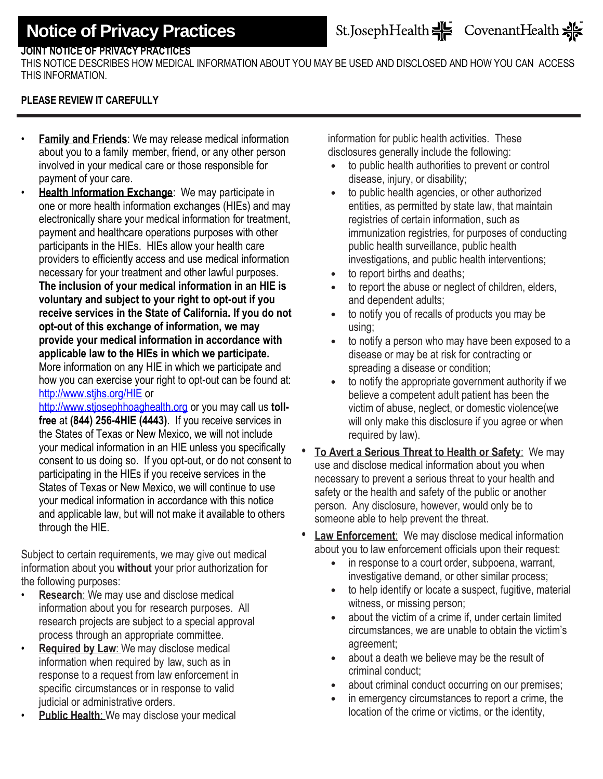## **JOINT NOTICE OF PRIVACY PRACTICES**

THIS NOTICE DESCRIBES HOW MEDICAL INFORMATION ABOUT YOU MAY BE USED AND DISCLOSED AND HOW YOU CAN ACCESS THIS INFORMATION.

### **PLEASE REVIEW IT CAREFULLY**

- **Family and Friends**: We may release medical information about you to a family member, friend, or any other person involved in your medical care or those responsible for payment of your care.
- **Health Information Exchange: We may participate in** one or more health information exchanges (HIEs) and may electronically share your medical information for treatment, payment and healthcare operations purposes with other participants in the HIEs. HIEs allow your health care providers to efficiently access and use medical information necessary for your treatment and other lawful purposes. **The inclusion of your medical information in an HIE is voluntary and subject to your right to opt-out if you receive services in the State of California. If you do not opt-out of this exchange of information, we may provide your medical information in accordance with applicable law to the HIEs in which we participate.**  More information on any HIE in which we participate and how you can exercise your right to opt-out can be found at: <http://www.stjhs.org/HIE> or

[http://www.stjosephhoaghealth.org](http://www.stjosephhoaghealth.org/) or you may call us **tollfree** at **(844) 256-4HIE (4443)**. If you receive services in the States of Texas or New Mexico, we will not include your medical information in an HIE unless you specifically consent to us doing so. If you opt-out, or do not consent to participating in the HIEs if you receive services in the States of Texas or New Mexico, we will continue to use your medical information in accordance with this notice and applicable law, but will not make it available to others through the HIE.

Subject to certain requirements, we may give out medical information about you **without** your prior authorization for the following purposes:

- **Research:** We may use and disclose medical information about you for research purposes. All research projects are subject to a special approval process through an appropriate committee.
- **Required by Law**: We may disclose medical information when required by law, such as in response to a request from law enforcement in specific circumstances or in response to valid judicial or administrative orders.
- **Public Health: We may disclose your medical**

information for public health activities. These disclosures generally include the following:

- to public health authorities to prevent or control disease, injury, or disability;
- to public health agencies, or other authorized entities, as permitted by state law, that maintain registries of certain information, such as immunization registries, for purposes of conducting public health surveillance, public health investigations, and public health interventions;
- to report births and deaths;
- to report the abuse or neglect of children, elders, and dependent adults;
- to notify you of recalls of products you may be using;
- to notify a person who may have been exposed to a disease or may be at risk for contracting or spreading a disease or condition;
- to notify the appropriate government authority if we believe a competent adult patient has been the victim of abuse, neglect, or domestic violence(we will only make this disclosure if you agree or when required by law).
- **To Avert a Serious Threat to Health or Safety**: We may use and disclose medical information about you when necessary to prevent a serious threat to your health and safety or the health and safety of the public or another person. Any disclosure, however, would only be to someone able to help prevent the threat.
- **Law Enforcement**: We may disclose medical information about you to law enforcement officials upon their request:
	- in response to a court order, subpoena, warrant, investigative demand, or other similar process;
	- to help identify or locate a suspect, fugitive, material witness, or missing person;
	- about the victim of a crime if, under certain limited circumstances, we are unable to obtain the victim's agreement;
	- about a death we believe may be the result of criminal conduct;
	- about criminal conduct occurring on our premises;
	- in emergency circumstances to report a crime, the location of the crime or victims, or the identity,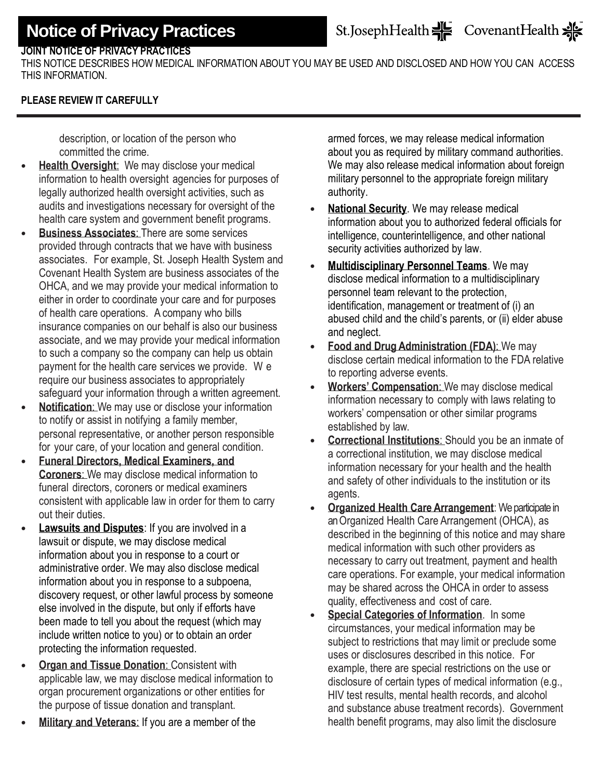## St.JosephHealth  $\frac{1}{2}$  CovenantHealth  $\frac{1}{2}$

## **JOINT NOTICE OF PRIVACY PRACTICES**

THIS NOTICE DESCRIBES HOW MEDICAL INFORMATION ABOUT YOU MAY BE USED AND DISCLOSED AND HOW YOU CAN ACCESS THIS INFORMATION.

#### **PLEASE REVIEW IT CAREFULLY**

description, or location of the person who committed the crime.

- **Health Oversight:** We may disclose your medical information to health oversight agencies for purposes of legally authorized health oversight activities, such as audits and investigations necessary for oversight of the health care system and government benefit programs.
- **Business Associates**: There are some services provided through contracts that we have with business associates. For example, St. Joseph Health System and Covenant Health System are business associates of the OHCA, and we may provide your medical information to either in order to coordinate your care and for purposes of health care operations. A company who bills insurance companies on our behalf is also our business associate, and we may provide your medical information to such a company so the company can help us obtain payment for the health care services we provide. W e require our business associates to appropriately safeguard your information through a written agreement.
- **Notification:** We may use or disclose your information to notify or assist in notifying a family member, personal representative, or another person responsible for your care, of your location and general condition.
- **Funeral Directors, Medical Examiners, and Coroners**: We may disclose medical information to funeral directors, coroners or medical examiners consistent with applicable law in order for them to carry out their duties.
- **Lawsuits and Disputes:** If you are involved in a lawsuit or dispute, we may disclose medical information about you in response to a court or administrative order. We may also disclose medical information about you in response to a subpoena, discovery request, or other lawful process by someone else involved in the dispute, but only if efforts have been made to tell you about the request (which may include written notice to you) or to obtain an order protecting the information requested.
- **Organ and Tissue Donation**: Consistent with applicable law, we may disclose medical information to organ procurement organizations or other entities for the purpose of tissue donation and transplant.
- **Military and Veterans**: If you are a member of the

armed forces, we may release medical information about you as required by military command authorities. We may also release medical information about foreign military personnel to the appropriate foreign military authority.

- **National Security**. We may release medical information about you to authorized federal officials for intelligence, counterintelligence, and other national security activities authorized by law.
- **Multidisciplinary Personnel Teams**. We may disclose medical information to a multidisciplinary personnel team relevant to the protection, identification, management or treatment of (i) an abused child and the child's parents, or (ii) elder abuse and neglect.
- **Food and Drug Administration (FDA)**: We may disclose certain medical information to the FDA relative to reporting adverse events.
- **Workers' Compensation**: We may disclose medical information necessary to comply with laws relating to workers' compensation or other similar programs established by law.
- **Correctional Institutions**: Should you be an inmate of a correctional institution, we may disclose medical information necessary for your health and the health and safety of other individuals to the institution or its agents.
- **Organized Health Care Arrangement**: We participate in anOrganized Health Care Arrangement (OHCA), as described in the beginning of this notice and may share medical information with such other providers as necessary to carry out treatment, payment and health care operations. For example, your medical information may be shared across the OHCA in order to assess quality, effectiveness and cost of care.
- **Special Categories of Information**. In some circumstances, your medical information may be subject to restrictions that may limit or preclude some uses or disclosures described in this notice. For example, there are special restrictions on the use or disclosure of certain types of medical information (e.g., HIV test results, mental health records, and alcohol and substance abuse treatment records). Government health benefit programs, may also limit the disclosure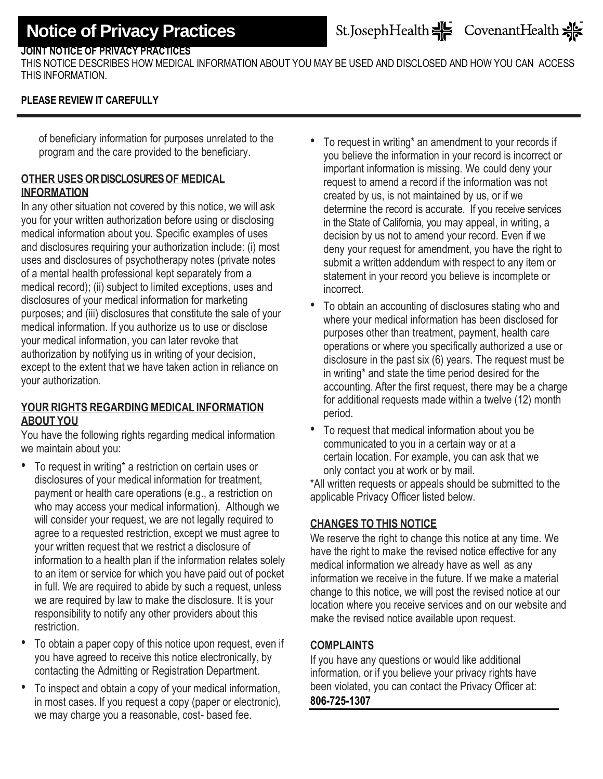## **JOINT NOTICE OF PRIVACY PRACTICES**

THIS NOTICE DESCRIBES HOW MEDICAL INFORMATION ABOUT YOU MAY BE USED AND DISCLOSED AND HOW YOU CAN ACCESS THIS INFORMATION.

### **PLEASE REVIEW IT CAREFULLY**

of beneficiary information for purposes unrelated to the program and the care provided to the beneficiary.

## **OTHER USES OR DISCLOSURES OF MEDICAL INFORMATION**

In any other situation not covered by this notice, we will ask you for your written authorization before using or disclosing medical information about you. Specific examples of uses and disclosures requiring your authorization include: (i) most uses and disclosures of psychotherapy notes (private notes of a mental health professional kept separately from a medical record); (ii) subject to limited exceptions, uses and disclosures of your medical information for marketing purposes; and (iii) disclosures that constitute the sale of your medical information. If you authorize us to use or disclose your medical information, you can later revoke that authorization by notifying us in writing of your decision, except to the extent that we have taken action in reliance on your authorization.

#### **YOUR RIGHTS REGARDING MEDICAL INFORMATION ABOUT YOU**

You have the following rights regarding medical information we maintain about you:

- To request in writing\* a restriction on certain uses or disclosures of your medical information for treatment, payment or health care operations (e.g., a restriction on who may access your medical information). Although we will consider your request, we are not legally required to agree to a requested restriction, except we must agree to your written request that we restrict a disclosure of information to a health plan if the information relates solely to an item or service for which you have paid out of pocket in full. We are required to abide by such a request, unless we are required by law to make the disclosure. It is your responsibility to notify any other providers about this restriction.
- To obtain a paper copy of this notice upon request, even if you have agreed to receive this notice electronically, by contacting the Admitting or Registration Department.
- To inspect and obtain a copy of your medical information, in most cases. If you request a copy (paper or electronic), we may charge you a reasonable, cost- based fee.
- To request in writing\* an amendment to your records if you believe the information in your record is incorrect or important information is missing. We could deny your request to amend a record if the information was not created by us, is not maintained by us, or if we determine the record is accurate. If you receive services in the State of California, you may appeal, in writing, a decision by us not to amend your record. Even if we deny your request for amendment, you have the right to submit a written addendum with respect to any item or statement in your record you believe is incomplete or **incorrect**
- To obtain an accounting of disclosures stating who and where your medical information has been disclosed for purposes other than treatment, payment, health care operations or where you specifically authorized a use or disclosure in the past six (6) years. The request must be in writing\* and state the time period desired for the accounting. After the first request, there may be a charge for additional requests made within a twelve (12) month period.
- To request that medical information about you be communicated to you in a certain way or at a certain location. For example, you can ask that we only contact you at work or by mail.

\*All written requests or appeals should be submitted to the applicable Privacy Officer listed below.

## **CHANGES TO THIS NOTICE**

We reserve the right to change this notice at any time. We have the right to make the revised notice effective for any medical information we already have as well as any information we receive in the future. If we make a material change to this notice, we will post the revised notice at our location where you receive services and on our website and make the revised notice available upon request.

## **COMPLAINTS**

If you have any questions or would like additional information, or if you believe your privacy rights have been violated, you can contact the Privacy Officer at: **806-725-1307**